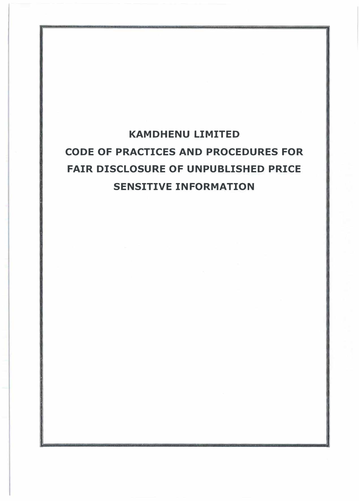# **KAMDHENU LIMITED CODE OF PRACTICES AND PROCEDURES FOR FAIR DISCLOSURE OF UNPUBLISHED PRICE SENSITIVE INFORMATION**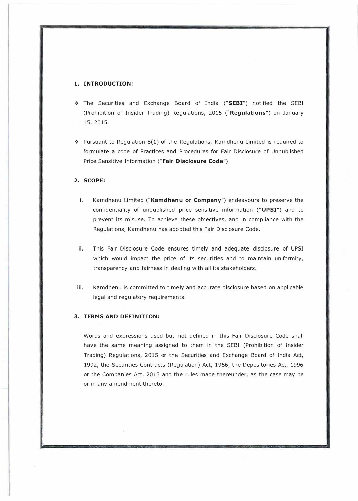#### **1. INTRODUCTION:**

- ❖ The Securities and Exchange Board of India **("SEBI")** notified the SEBI (Prohibition of Insider Trading) Regulations, 2015 **("Regulations")** on January 15, 2015.
- $\cdot$  Pursuant to Regulation 8(1) of the Regulations, Kamdhenu Limited is reguired to formulate a code of Practices and Procedures for Fair Disclosure of Unpublished Price Sensitive Information **("Fair Disclosure Code")**

## **2. SCOPE:**

- i. Kamdhenu Limited **("Kamdhenu or Company")** endeavours to preserve the confidentiality of unpublished price sensitive information **("UPSI")** and to prevent its misuse. To achieve these objectives, and in compliance with the Regulations, Kamdhenu has adopted this Fair Disclosure Code.
- ii. This Fair Disclosure Code ensures timely and adequate disclosure of UPSI which would impact the price of its securities and to maintain uniformity, transparency and fairness in dealing with all its stakeholders.
- iii. Kamdhenu is committed to timely and accurate disclosure based on applicable legal and regulatory requirements.

## **3. TERMS AND DEFINITION:**

Words and expressions used but not defined in this Fair Disclosure Code shall have the same meaning assigned to them in the SEBI (Prohibition of Insider Trading) Regulations, 2015 or the Securities and Exchange Board of India Act, 1992, the Securities Contracts (Regulation) Act, 1956, the Depositories Act, 1996 or the .Companies Act, 2013 and the rules made thereunder, as the case may be or in any amendment thereto.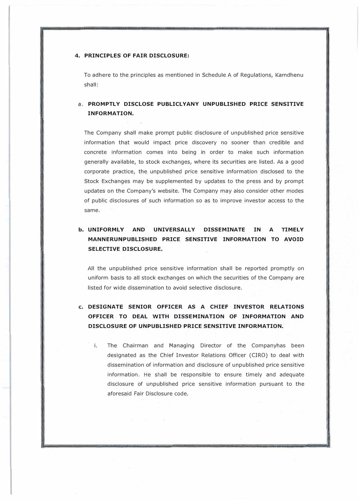### **4. PRINCIPLES OF FAIR DISCLOSURE:**

To adhere to the principles as mentioned in Schedule A of Regulations, Kamdhenu shall:

# **a. PROMPTLY DISCLOSE PUBLICLYANY UNPUBLISHED PRICE SENSITIVE INFORMATION.**

The Company shall make prompt public disclosure of unpublished price sensitive information that would impact price discovery no sooner than credible and concrete information comes into being in order to make such information generally available, to stock exchanges, where its securities are listed. As a good corporate practice, the unpublished price sensitive information disclosed to the Stock Exchanges may be supplemented by updates to the press and by prompt updates on the Company's website. The Company may also consider other modes of public disclosures of such information so as to improve investor access to the same.

# **b. UNIFORMLY AND UNIVERSALLY DISSEMINATE IN A TIMELY MANNERUNPUBLISHED PRICE SENSITIVE INFORMATION TO AVOID SELECTIVE DISCLOSURE.**

All the unpublished price sensitive information shall be reported promptly on uniform basis to all stock exchanges on which the securities of the Company are listed for wide dissemination to avoid selective disclosure.

# **c. DESIGNATE SENIOR OFFICER AS A CHIEF INVESTOR RELATIONS OFFICER TO DEAL WITH DISSEMINATION OF INFORMATION AND DISCLOSURE OF UNPUBLISHED PRICE SENSITIVE INFORMATION.**

i. The Chairman and Managing Director of the Companyhas been designated as the Chief Investor Relations Officer (CIRO) to deal with dissemination of information and disclosure of unpublished price sensitive information. He shall be responsible to ensure timely and adequate disclosure of unpublished price sensitive information pursuant to the aforesaid Fair Disclosure code.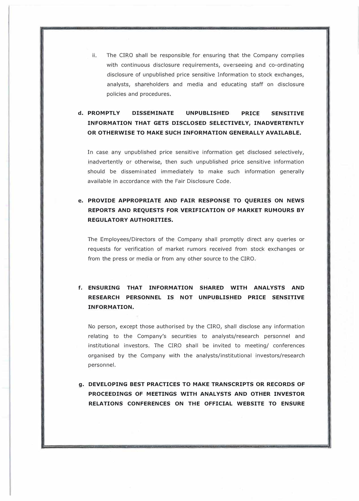ii. The CIRO shall be responsible for ensuring that the Company complies with continuous disclosure requirements, overseeing and co-ordinating disclosure of unpublished price sensitive Information to stock exchanges, analysts, shareholders and media and educating staff on disclosure policies and procedures.

# **d. PROMPTLY DISSEMINATE UNPUBLISHED PRICE SENSITIVE INFORMATION THAT GETS DISCLOSED SELECTIVELY, INADVERTENTLY OR OTHERWISE TO MAKE SUCH INFORMATION GENERALLY AVAILABLE.**

In case any unpublished price sensitive information get disclosed selectively, inadvertently or otherwise, then such unpublished price sensitive information should be disseminated immediately to make such information generally available in accordance with the Fair Disclosure Code.

# **e. PROVIDE APPROPRIATE AND FAIR RESPONSE TO QUERIES ON NEWS REPORTS AND REQUESTS FOR VERIFICATION OF MARKET RUMOURS BY REGULATORY AUTHORITIES.**

The Employees/Directors of the Company shall promptly direct any queries or requests for verification of market rumors received from stock exchanges or from the press or media or from any other source to the CIRO.

# **f. ENSURING THAT INFORMATION SHARED WITH ANALYSTS AND RESEARCH PERSONNEL IS NOT UNPUBLISHED PRICE SENSITIVE INFORMATION.**

No person, except those authorised by the CIRO, shall disclose any information relating to the Company's securities to analysts/research personnel and institutional investors. The CIRO shall be invited to meeting/ conferences organised by the Company with the analysts/institutional investors/research personnel.

**g. DEVELOPING BEST PRACTICES TO MAKE TRANSCRIPTS OR RECORDS OF PROCEEDINGS OF MEETINGS WITH ANALYSTS AND OTHER INVESTOR RELATIONS CONFERENCES ON THE OFFICIAL WEBSITE TO ENSURE**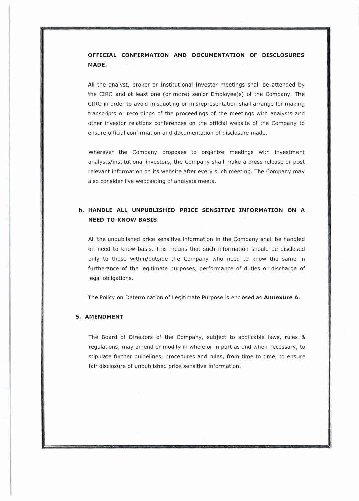# **OFFICIAL CONFIRMATION AND DOCUMENTATION OF DISCLOSURES MADE.**

All the analyst, broker or Institutional Investor meetings shall be attended by the CIRO and at least one (or more) senior Employee(s) of the Company. The CIRO in order to avoid misquoting or misrepresentation shall arrange for making transcripts or recordings of the proceedings of the meetings with analysts and other investor relations conferences on the official website of the Company to ensure official confirmation and documentation of disclosure made.

Wherever the Company proposes to organize meetings with investment analysts/institutional investors, the Company shall make a press release or post relevant information on its website after every such meeting. The Company may also consider live webcasting of analysts meets.

# **h. HANDLE ALL UNPUBLISHED PRICE SENSITIVE INFORMATION ON A NEED-TO-KNOW BASIS.**

All the unpublished price sensitive information in the Company shall be handled on need to know basis. This means that such information should be disclosed only to those within/outside the Company who need to know the same in furtherance of the legitimate purposes, performance of duties or discharge of legal obligations.

The Policy on Determination of Legitimate Purpose is enclosed as **Annexure A.**

## **5. AMENDMENT**

The Board of Directors of the Company, subject to applicable laws, rules & regulations, may amend or modify in whole or in part as and when necessary, to stipulate further guidelines, procedures and rules, from time to time, to ensure fair disclosure of unpublished price sensitive information.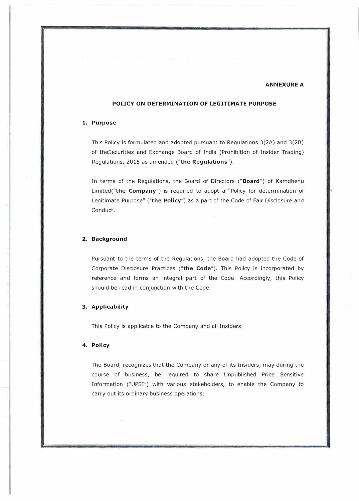## **ANNEXURE A**

## **POLICY ON DETERMINATION OF LEGITIMATE PURPOSE**

## **1. Purpose**

This Policy is formulated and adopted pursuant to Regulations 3(2A) and 3(28) of theSecurities and Exchange Board of India (Prohibition of Insider Trading) Regulations, 2015 as amended **("the Regulations").** 

In terms of the Regulations, the Board of Directors **("Board")** of Kamdhenu Limited("the **Company")** is required to adopt a "Policy for determination of Legitimate Purpose" **("the Policy")** as a part of the Code of Fair Disclosure and Conduct.

## **2. Background**

Pursuant to the terms of the Regulations, the Board had adopted the Code of Corporate Disclosure Practices **("the Code").** This Policy is incorporated by reference and forms an integral part of the Code. Accordingly, this Policy should be read in conjunction with the Code.

#### **3. Applicability**

This Policy is applicable to the Company and all Insiders.

#### **4. Policy**

The Board, recognizes that the Company or any of its Insiders, may during the course of business, be required to share Unpublished Price Sensitive Information ("UPS!") with various stakeholders, to enable the Company to carry out its ordinary business operations.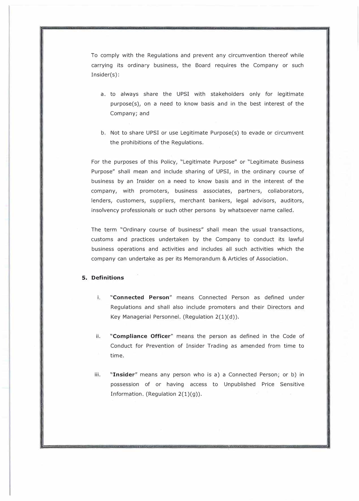To comply with the Regulations and prevent any circumvention thereof while carrying its ordinary business, the Board requires the Company or such Insider(s):

- a. to always share the UPSI with stakeholders only for legitimate purpose(s), on a need to know basis and in the best interest of the Company; and
- b. Not to share UPSI or use Legitimate Purpose(s) to evade or circumvent the prohibitions of the Regulations.

For the purposes of this Policy, "Legitimate Purpose" or "Legitimate Business Purpose" shall mean and include sharing of UPSI, in the ordinary course of business by an Insider on a need to know basis and in the interest of the company, with promoters, business associates, partners, collaborators, lenders, customers, suppliers, merchant bankers, legal advisors, auditors, insolvency professionals or such other persons by whatsoever name called.

The term "Ordinary course of business" shall mean the usual transactions, customs and practices undertaken by the Company to conduct its lawful business operations and activities and includes all such activities which the company can undertake as per its Memorandum & Articles of Association.

## **5. Definitions**

- i. **"Connected Person"** means Connected Person as defined under Regulations and shall also include promoters and their Directors and Key Managerial Personnel. (Regulation  $2(1)(d)$ ).
- ii. **"Compliance Officer"** means the person as defined in the Code of Conduct for Prevention of Insider Trading as amended from time to time.
- iii. **"Insider"** means any person who is a) a Connected Person; or b) in possession of or having access to Unpublished Price Sensitive Information. (Regulation 2(1)(g)).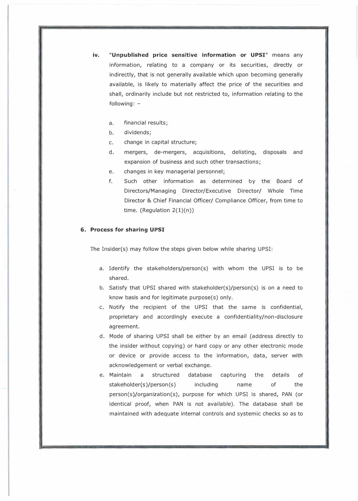- **iv. "Unpublished price sensitive information or UPSI"** means any information, relating to a company or its securities, directly or indirectly, that is not generally available which upon becoming generally available, is likely to materially affect the price of the securities and shall, ordinarily include but not restricted to, information relating to the following:
	- a. financial results;
	- b. dividends;
	- c. change in capital structure;
	- d. mergers, de-mergers, acquisitions, delisting, disposals and expansion of business and such other transactions;
	- e. changes in key managerial personnel;
	- f. Such other information as determined by the Board of Directors/Managing Director/Executive Director/ Whole Time Director & Chief Financial Officer/ Compliance Officer, from time to time. (Regulation 2(1)(n))

#### **6. Process for sharing UPSI**

The Insider(s) may follow the steps given below while sharing UPSI:

- a. Identify the stakeholders/person(s) with whom the UPSI is to be shared.
- b. Satisfy that UPSI shared with stakeholder(s)/person(s) is on a need to know basis and for legitimate purpose(s) only.
- c. Notify the recipient of the UPSI that the same is confidential, proprietary and accordingly execute a confidentiality/non-disclosure agreement.
- d. Mode of sharing UPSI shall be either by an email (address directly to the insider without copying) or hard copy or any other electronic mode or device or provide access to the information, data, server with acknowledgement or verbal exchange.
- e. Maintain a structured stakeholder(s)/person(s) database capturing the including name details of of the person(s)/organization(s), purpose for which UPSI is shared, PAN (or identical proof, when PAN is not available). The database shall be maintained with adequate internal controls and systemic checks so as to